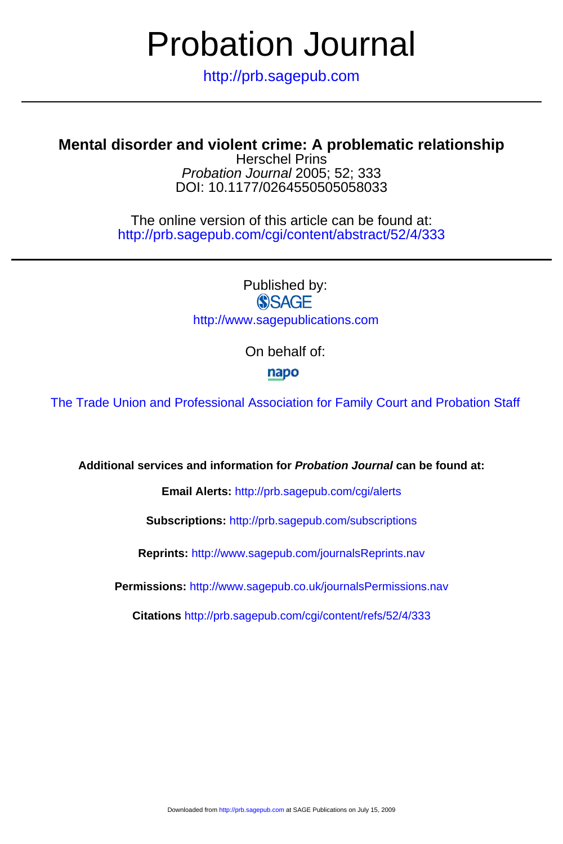## Probation Journal

http://prb.sagepub.com

## **Mental disorder and violent crime: A problematic relationship**

DOI: 10.1177/0264550505058033 Probation Journal 2005; 52; 333 Herschel Prins

http://prb.sagepub.com/cgi/content/abstract/52/4/333 The online version of this article can be found at:

> Published by:<br>
> SAGE http://www.sagepublications.com

> > On behalf of: napo

[The Trade Union and Professional Association for Family Court and Probation Staff](http://www.napo.org.uk)

**Additional services and information for Probation Journal can be found at:**

**Email Alerts:** <http://prb.sagepub.com/cgi/alerts>

**Subscriptions:** <http://prb.sagepub.com/subscriptions>

**Reprints:** <http://www.sagepub.com/journalsReprints.nav>

**Permissions:** <http://www.sagepub.co.uk/journalsPermissions.nav>

**Citations** <http://prb.sagepub.com/cgi/content/refs/52/4/333>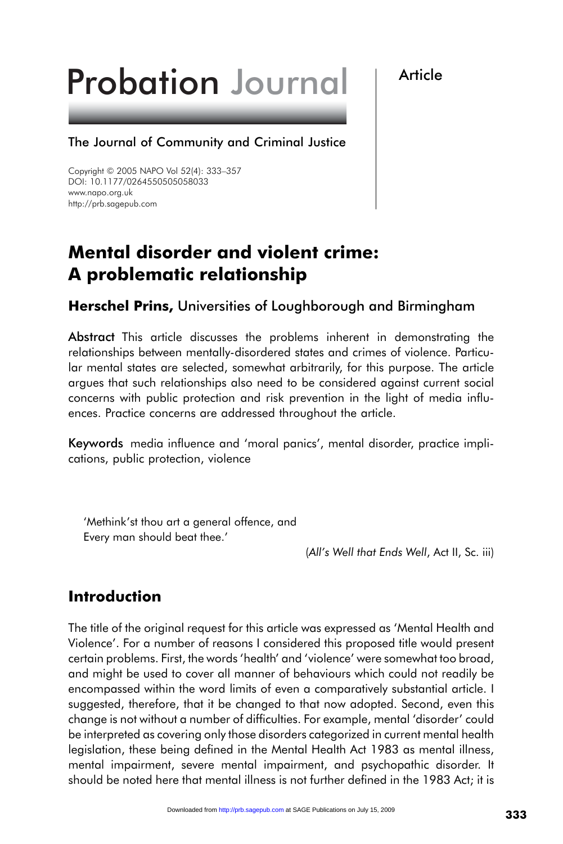## **Article**

# Probation Journal

#### The Journal of Community and Criminal Justice

Copyright © 2005 NAPO Vol 52(4): 333–357 DOI: 10.1177/0264550505058033 www.napo.org.uk http://prb.sagepub.com

## **Mental disorder and violent crime: A problematic relationship**

#### **Herschel Prins,** Universities of Loughborough and Birmingham

Abstract This article discusses the problems inherent in demonstrating the relationships between mentally-disordered states and crimes of violence. Particular mental states are selected, somewhat arbitrarily, for this purpose. The article argues that such relationships also need to be considered against current social concerns with public protection and risk prevention in the light of media influences. Practice concerns are addressed throughout the article.

Keywords media influence and 'moral panics', mental disorder, practice implications, public protection, violence

'Methink'st thou art a general offence, and Every man should beat thee.'

(*All's Well that Ends Well*, Act II, Sc. iii)

## **Introduction**

The title of the original request for this article was expressed as 'Mental Health and Violence'. For a number of reasons I considered this proposed title would present certain problems. First, the words 'health' and 'violence' were somewhat too broad, and might be used to cover all manner of behaviours which could not readily be encompassed within the word limits of even a comparatively substantial article. I suggested, therefore, that it be changed to that now adopted. Second, even this change is not without a number of difficulties. For example, mental 'disorder' could be interpreted as covering only those disorders categorized in current mental health legislation, these being defined in the Mental Health Act 1983 as mental illness, mental impairment, severe mental impairment, and psychopathic disorder. It should be noted here that mental illness is not further defined in the 1983 Act; it is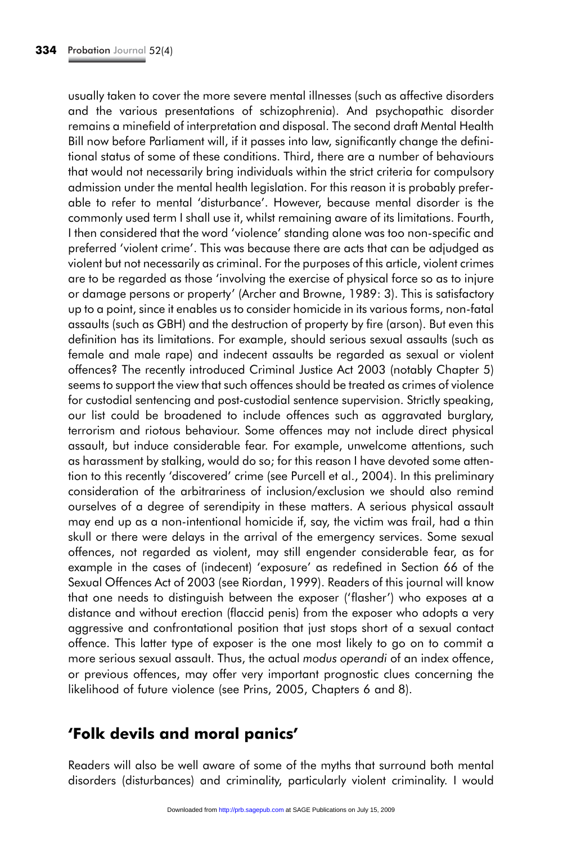usually taken to cover the more severe mental illnesses (such as affective disorders and the various presentations of schizophrenia). And psychopathic disorder remains a minefield of interpretation and disposal. The second draft Mental Health Bill now before Parliament will, if it passes into law, significantly change the definitional status of some of these conditions. Third, there are a number of behaviours that would not necessarily bring individuals within the strict criteria for compulsory admission under the mental health legislation. For this reason it is probably preferable to refer to mental 'disturbance'. However, because mental disorder is the commonly used term I shall use it, whilst remaining aware of its limitations. Fourth, I then considered that the word 'violence' standing alone was too non-specific and preferred 'violent crime'. This was because there are acts that can be adjudged as violent but not necessarily as criminal. For the purposes of this article, violent crimes are to be regarded as those 'involving the exercise of physical force so as to injure or damage persons or property' (Archer and Browne, 1989: 3). This is satisfactory up to a point, since it enables us to consider homicide in its various forms, non-fatal assaults (such as GBH) and the destruction of property by fire (arson). But even this definition has its limitations. For example, should serious sexual assaults (such as female and male rape) and indecent assaults be regarded as sexual or violent offences? The recently introduced Criminal Justice Act 2003 (notably Chapter 5) seems to support the view that such offences should be treated as crimes of violence for custodial sentencing and post-custodial sentence supervision. Strictly speaking, our list could be broadened to include offences such as aggravated burglary, terrorism and riotous behaviour. Some offences may not include direct physical assault, but induce considerable fear. For example, unwelcome attentions, such as harassment by stalking, would do so; for this reason I have devoted some attention to this recently 'discovered' crime (see Purcell et al., 2004). In this preliminary consideration of the arbitrariness of inclusion/exclusion we should also remind ourselves of a degree of serendipity in these matters. A serious physical assault may end up as a non-intentional homicide if, say, the victim was frail, had a thin skull or there were delays in the arrival of the emergency services. Some sexual offences, not regarded as violent, may still engender considerable fear, as for example in the cases of (indecent) 'exposure' as redefined in Section 66 of the Sexual Offences Act of 2003 (see Riordan, 1999). Readers of this journal will know that one needs to distinguish between the exposer ('flasher') who exposes at a distance and without erection (flaccid penis) from the exposer who adopts a very aggressive and confrontational position that just stops short of a sexual contact offence. This latter type of exposer is the one most likely to go on to commit a more serious sexual assault. Thus, the actual *modus operandi* of an index offence, or previous offences, may offer very important prognostic clues concerning the likelihood of future violence (see Prins, 2005, Chapters 6 and 8).

#### **'Folk devils and moral panics'**

Readers will also be well aware of some of the myths that surround both mental disorders (disturbances) and criminality, particularly violent criminality. I would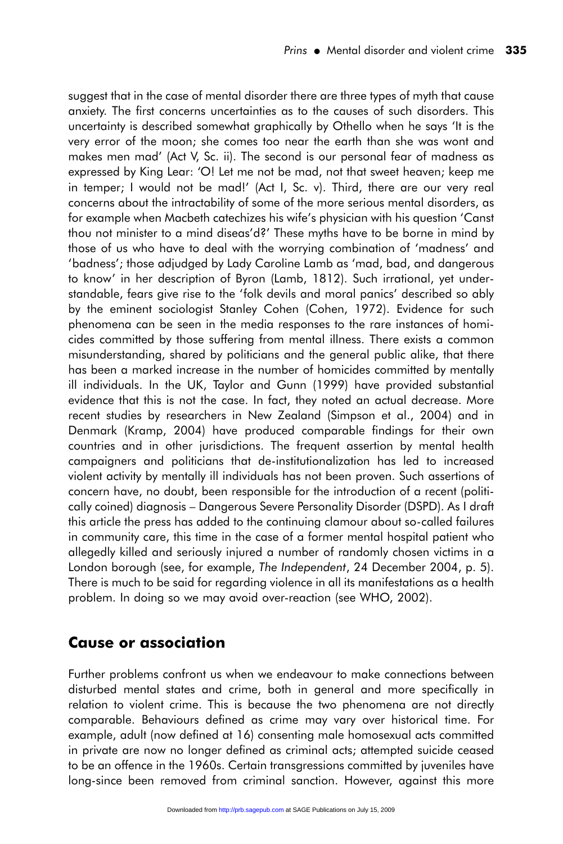suggest that in the case of mental disorder there are three types of myth that cause anxiety. The first concerns uncertainties as to the causes of such disorders. This uncertainty is described somewhat graphically by Othello when he says 'It is the very error of the moon; she comes too near the earth than she was wont and makes men mad' (Act V, Sc. ii). The second is our personal fear of madness as expressed by King Lear: 'O! Let me not be mad, not that sweet heaven; keep me in temper; I would not be mad!' (Act I, Sc. v). Third, there are our very real concerns about the intractability of some of the more serious mental disorders, as for example when Macbeth catechizes his wife's physician with his question 'Canst thou not minister to a mind diseas'd?' These myths have to be borne in mind by those of us who have to deal with the worrying combination of 'madness' and 'badness'; those adjudged by Lady Caroline Lamb as 'mad, bad, and dangerous to know' in her description of Byron (Lamb, 1812). Such irrational, yet understandable, fears give rise to the 'folk devils and moral panics' described so ably by the eminent sociologist Stanley Cohen (Cohen, 1972). Evidence for such phenomena can be seen in the media responses to the rare instances of homicides committed by those suffering from mental illness. There exists a common misunderstanding, shared by politicians and the general public alike, that there has been a marked increase in the number of homicides committed by mentally ill individuals. In the UK, Taylor and Gunn (1999) have provided substantial evidence that this is not the case. In fact, they noted an actual decrease. More recent studies by researchers in New Zealand (Simpson et al., 2004) and in Denmark (Kramp, 2004) have produced comparable findings for their own countries and in other jurisdictions. The frequent assertion by mental health campaigners and politicians that de-institutionalization has led to increased violent activity by mentally ill individuals has not been proven. Such assertions of concern have, no doubt, been responsible for the introduction of a recent (politically coined) diagnosis – Dangerous Severe Personality Disorder (DSPD). As I draft this article the press has added to the continuing clamour about so-called failures in community care, this time in the case of a former mental hospital patient who allegedly killed and seriously injured a number of randomly chosen victims in a London borough (see, for example, *The Independent*, 24 December 2004, p. 5). There is much to be said for regarding violence in all its manifestations as a health problem. In doing so we may avoid over-reaction (see WHO, 2002).

#### **Cause or association**

Further problems confront us when we endeavour to make connections between disturbed mental states and crime, both in general and more specifically in relation to violent crime. This is because the two phenomena are not directly comparable. Behaviours defined as crime may vary over historical time. For example, adult (now defined at 16) consenting male homosexual acts committed in private are now no longer defined as criminal acts; attempted suicide ceased to be an offence in the 1960s. Certain transgressions committed by juveniles have long-since been removed from criminal sanction. However, against this more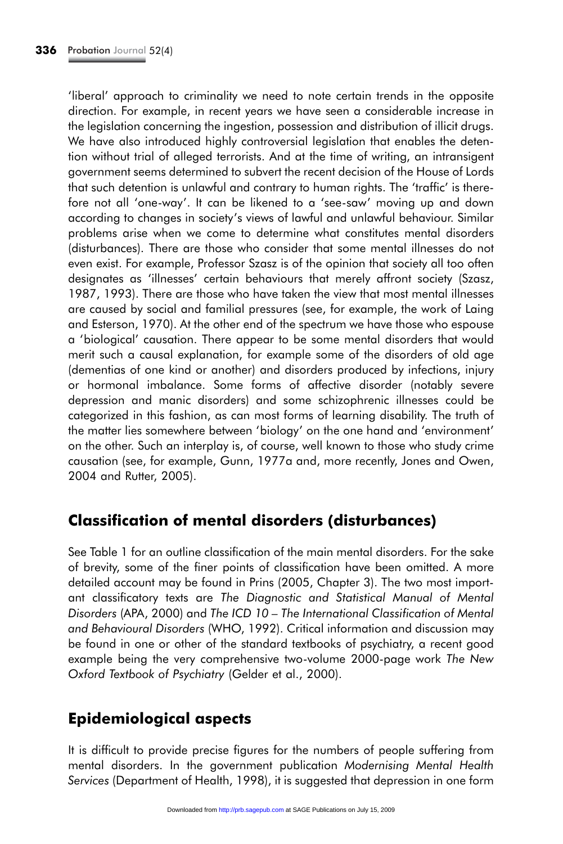'liberal' approach to criminality we need to note certain trends in the opposite direction. For example, in recent years we have seen a considerable increase in the legislation concerning the ingestion, possession and distribution of illicit drugs. We have also introduced highly controversial legislation that enables the detention without trial of alleged terrorists. And at the time of writing, an intransigent government seems determined to subvert the recent decision of the House of Lords that such detention is unlawful and contrary to human rights. The 'traffic' is therefore not all 'one-way'. It can be likened to a 'see-saw' moving up and down according to changes in society's views of lawful and unlawful behaviour. Similar problems arise when we come to determine what constitutes mental disorders (disturbances). There are those who consider that some mental illnesses do not even exist. For example, Professor Szasz is of the opinion that society all too often designates as 'illnesses' certain behaviours that merely affront society (Szasz, 1987, 1993). There are those who have taken the view that most mental illnesses are caused by social and familial pressures (see, for example, the work of Laing and Esterson, 1970). At the other end of the spectrum we have those who espouse a 'biological' causation. There appear to be some mental disorders that would merit such a causal explanation, for example some of the disorders of old age (dementias of one kind or another) and disorders produced by infections, injury or hormonal imbalance. Some forms of affective disorder (notably severe depression and manic disorders) and some schizophrenic illnesses could be categorized in this fashion, as can most forms of learning disability. The truth of the matter lies somewhere between 'biology' on the one hand and 'environment' on the other. Such an interplay is, of course, well known to those who study crime causation (see, for example, Gunn, 1977a and, more recently, Jones and Owen, 2004 and Rutter, 2005).

## **Classification of mental disorders (disturbances)**

See Table 1 for an outline classification of the main mental disorders. For the sake of brevity, some of the finer points of classification have been omitted. A more detailed account may be found in Prins (2005, Chapter 3). The two most important classificatory texts are *The Diagnostic and Statistical Manual of Mental Disorders* (APA, 2000) and *The ICD 10 – The International Classification of Mental and Behavioural Disorders* (WHO, 1992). Critical information and discussion may be found in one or other of the standard textbooks of psychiatry, a recent good example being the very comprehensive two-volume 2000-page work *The New Oxford Textbook of Psychiatry* (Gelder et al., 2000).

## **Epidemiological aspects**

It is difficult to provide precise figures for the numbers of people suffering from mental disorders. In the government publication *Modernising Mental Health Services* (Department of Health, 1998), it is suggested that depression in one form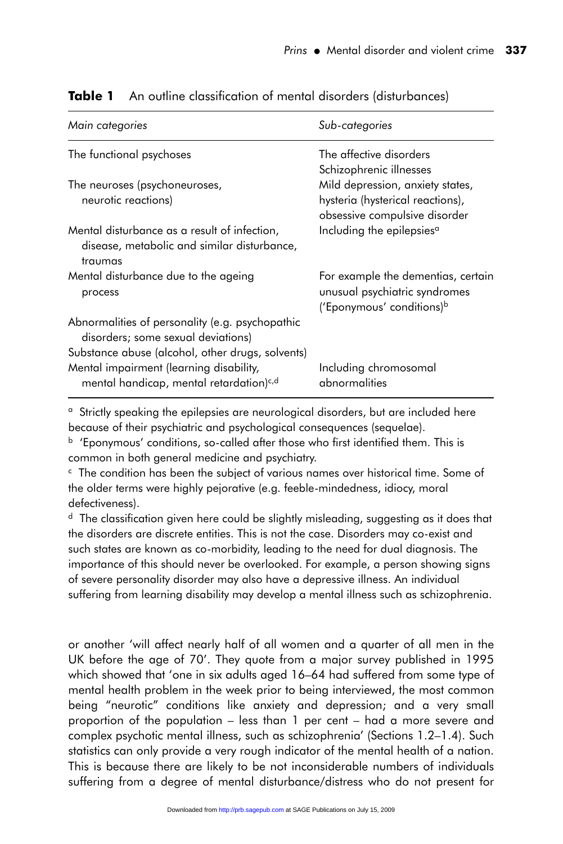| Main categories                                                                                        | Sub-categories                                                                                               |
|--------------------------------------------------------------------------------------------------------|--------------------------------------------------------------------------------------------------------------|
| The functional psychoses                                                                               | The affective disorders                                                                                      |
|                                                                                                        | Schizophrenic illnesses                                                                                      |
| The neuroses (psychoneuroses,                                                                          | Mild depression, anxiety states,                                                                             |
| neurotic reactions)                                                                                    | hysteria (hysterical reactions),<br>obsessive compulsive disorder                                            |
| Mental disturbance as a result of infection,<br>disease, metabolic and similar disturbance,<br>traumas | Including the epilepsies <sup><math>a</math></sup>                                                           |
| Mental disturbance due to the ageing<br>process                                                        | For example the dementias, certain<br>unusual psychiatric syndromes<br>('Eponymous' conditions) <sup>b</sup> |
| Abnormalities of personality (e.g. psychopathic<br>disorders; some sexual deviations)                  |                                                                                                              |
| Substance abuse (alcohol, other drugs, solvents)                                                       |                                                                                                              |
| Mental impairment (learning disability,<br>mental handicap, mental retardation) <sup>c,d</sup>         | Including chromosomal<br>abnormalities                                                                       |

#### **Table 1** An outline classification of mental disorders (disturbances)

<sup>a</sup> Strictly speaking the epilepsies are neurological disorders, but are included here because of their psychiatric and psychological consequences (sequelae).

b 'Eponymous' conditions, so-called after those who first identified them. This is common in both general medicine and psychiatry.

<sup>c</sup> The condition has been the subject of various names over historical time. Some of the older terms were highly pejorative (e.g. feeble-mindedness, idiocy, moral defectiveness).

<sup>d</sup> The classification given here could be slightly misleading, suggesting as it does that the disorders are discrete entities. This is not the case. Disorders may co-exist and such states are known as co-morbidity, leading to the need for dual diagnosis. The importance of this should never be overlooked. For example, a person showing signs of severe personality disorder may also have a depressive illness. An individual suffering from learning disability may develop a mental illness such as schizophrenia.

or another 'will affect nearly half of all women and a quarter of all men in the UK before the age of 70'. They quote from a major survey published in 1995 which showed that 'one in six adults aged 16–64 had suffered from some type of mental health problem in the week prior to being interviewed, the most common being "neurotic" conditions like anxiety and depression; and a very small proportion of the population – less than 1 per cent – had a more severe and complex psychotic mental illness, such as schizophrenia' (Sections 1.2–1.4). Such statistics can only provide a very rough indicator of the mental health of a nation. This is because there are likely to be not inconsiderable numbers of individuals suffering from a degree of mental disturbance/distress who do not present for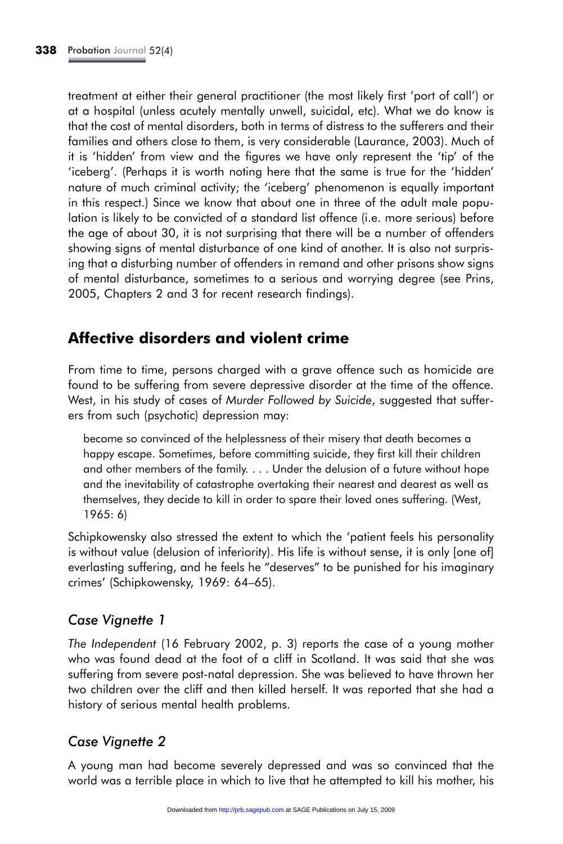treatment at either their general practitioner (the most likely first 'port of call') or at a hospital (unless acutely mentally unwell, suicidal, etc). What we do know is that the cost of mental disorders, both in terms of distress to the sufferers and their families and others close to them, is very considerable (Laurance, 2003). Much of it is 'hidden' from view and the figures we have only represent the 'tip' of the 'iceberg'. (Perhaps it is worth noting here that the same is true for the 'hidden' nature of much criminal activity; the 'iceberg' phenomenon is equally important in this respect.) Since we know that about one in three of the adult male population is likely to be convicted of a standard list offence (i.e. more serious) before the age of about 30, it is not surprising that there will be a number of offenders showing signs of mental disturbance of one kind of another. It is also not surprising that a disturbing number of offenders in remand and other prisons show signs of mental disturbance, sometimes to a serious and worrying degree (see Prins, 2005, Chapters 2 and 3 for recent research findings).

## **Affective disorders and violent crime**

From time to time, persons charged with a grave offence such as homicide are found to be suffering from severe depressive disorder at the time of the offence. West, in his study of cases of *Murder Followed by Suicide*, suggested that sufferers from such (psychotic) depression may:

become so convinced of the helplessness of their misery that death becomes a happy escape. Sometimes, before committing suicide, they first kill their children and other members of the family. . . . Under the delusion of a future without hope and the inevitability of catastrophe overtaking their nearest and dearest as well as themselves, they decide to kill in order to spare their loved ones suffering. (West, 1965: 6)

Schipkowensky also stressed the extent to which the 'patient feels his personality is without value (delusion of inferiority). His life is without sense, it is only [one of] everlasting suffering, and he feels he "deserves" to be punished for his imaginary crimes' (Schipkowensky, 1969: 64–65).

#### *Case Vignette 1*

*The Independent* (16 February 2002, p. 3) reports the case of a young mother who was found dead at the foot of a cliff in Scotland. It was said that she was suffering from severe post-natal depression. She was believed to have thrown her two children over the cliff and then killed herself. It was reported that she had a history of serious mental health problems.

#### *Case Vignette 2*

A young man had become severely depressed and was so convinced that the world was a terrible place in which to live that he attempted to kill his mother, his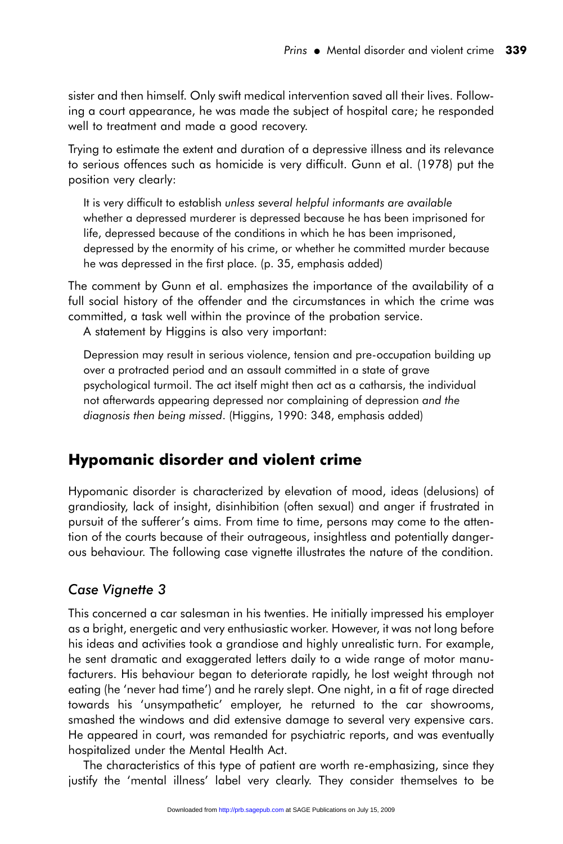sister and then himself. Only swift medical intervention saved all their lives. Following a court appearance, he was made the subject of hospital care; he responded well to treatment and made a good recovery.

Trying to estimate the extent and duration of a depressive illness and its relevance to serious offences such as homicide is very difficult. Gunn et al. (1978) put the position very clearly:

It is very difficult to establish *unless several helpful informants are available* whether a depressed murderer is depressed because he has been imprisoned for life, depressed because of the conditions in which he has been imprisoned, depressed by the enormity of his crime, or whether he committed murder because he was depressed in the first place. (p. 35, emphasis added)

The comment by Gunn et al. emphasizes the importance of the availability of a full social history of the offender and the circumstances in which the crime was committed, a task well within the province of the probation service.

A statement by Higgins is also very important:

Depression may result in serious violence, tension and pre-occupation building up over a protracted period and an assault committed in a state of grave psychological turmoil. The act itself might then act as a catharsis, the individual not afterwards appearing depressed nor complaining of depression *and the diagnosis then being missed*. (Higgins, 1990: 348, emphasis added)

#### **Hypomanic disorder and violent crime**

Hypomanic disorder is characterized by elevation of mood, ideas (delusions) of grandiosity, lack of insight, disinhibition (often sexual) and anger if frustrated in pursuit of the sufferer's aims. From time to time, persons may come to the attention of the courts because of their outrageous, insightless and potentially dangerous behaviour. The following case vignette illustrates the nature of the condition.

#### *Case Vignette 3*

This concerned a car salesman in his twenties. He initially impressed his employer as a bright, energetic and very enthusiastic worker. However, it was not long before his ideas and activities took a grandiose and highly unrealistic turn. For example, he sent dramatic and exaggerated letters daily to a wide range of motor manufacturers. His behaviour began to deteriorate rapidly, he lost weight through not eating (he 'never had time') and he rarely slept. One night, in a fit of rage directed towards his 'unsympathetic' employer, he returned to the car showrooms, smashed the windows and did extensive damage to several very expensive cars. He appeared in court, was remanded for psychiatric reports, and was eventually hospitalized under the Mental Health Act.

The characteristics of this type of patient are worth re-emphasizing, since they justify the 'mental illness' label very clearly. They consider themselves to be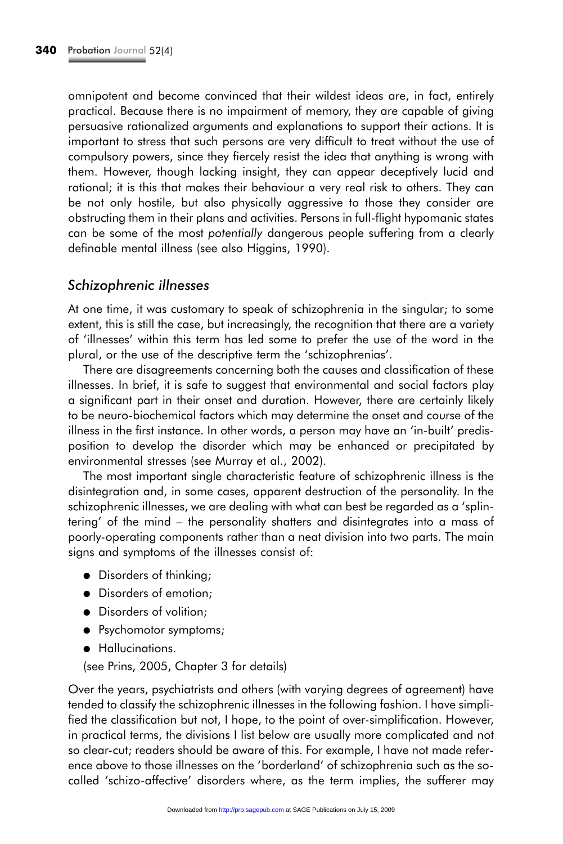omnipotent and become convinced that their wildest ideas are, in fact, entirely practical. Because there is no impairment of memory, they are capable of giving persuasive rationalized arguments and explanations to support their actions. It is important to stress that such persons are very difficult to treat without the use of compulsory powers, since they fiercely resist the idea that anything is wrong with them. However, though lacking insight, they can appear deceptively lucid and rational; it is this that makes their behaviour a very real risk to others. They can be not only hostile, but also physically aggressive to those they consider are obstructing them in their plans and activities. Persons in full-flight hypomanic states can be some of the most *potentially* dangerous people suffering from a clearly definable mental illness (see also Higgins, 1990).

#### *Schizophrenic illnesses*

At one time, it was customary to speak of schizophrenia in the singular; to some extent, this is still the case, but increasingly, the recognition that there are a variety of 'illnesses' within this term has led some to prefer the use of the word in the plural, or the use of the descriptive term the 'schizophrenias'.

There are disagreements concerning both the causes and classification of these illnesses. In brief, it is safe to suggest that environmental and social factors play a significant part in their onset and duration. However, there are certainly likely to be neuro-biochemical factors which may determine the onset and course of the illness in the first instance. In other words, a person may have an 'in-built' predisposition to develop the disorder which may be enhanced or precipitated by environmental stresses (see Murray et al., 2002).

The most important single characteristic feature of schizophrenic illness is the disintegration and, in some cases, apparent destruction of the personality. In the schizophrenic illnesses, we are dealing with what can best be regarded as a 'splintering' of the mind – the personality shatters and disintegrates into a mass of poorly-operating components rather than a neat division into two parts. The main signs and symptoms of the illnesses consist of:

- Disorders of thinking;
- Disorders of emotion;
- Disorders of volition;
- Psychomotor symptoms;
- Hallucinations.

(see Prins, 2005, Chapter 3 for details)

Over the years, psychiatrists and others (with varying degrees of agreement) have tended to classify the schizophrenic illnesses in the following fashion. I have simplified the classification but not, I hope, to the point of over-simplification. However, in practical terms, the divisions I list below are usually more complicated and not so clear-cut; readers should be aware of this. For example, I have not made reference above to those illnesses on the 'borderland' of schizophrenia such as the socalled 'schizo-affective' disorders where, as the term implies, the sufferer may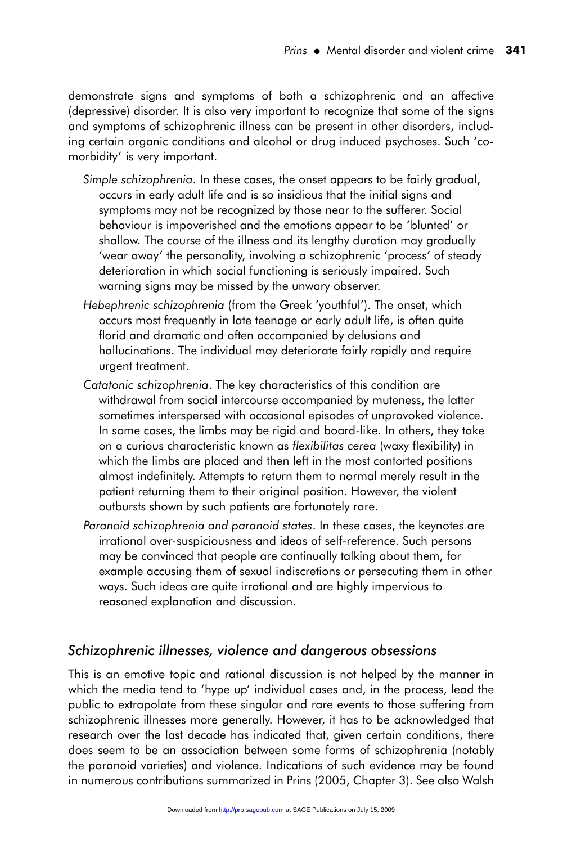demonstrate signs and symptoms of both a schizophrenic and an affective (depressive) disorder. It is also very important to recognize that some of the signs and symptoms of schizophrenic illness can be present in other disorders, including certain organic conditions and alcohol or drug induced psychoses. Such 'comorbidity' is very important.

- *Simple schizophrenia*. In these cases, the onset appears to be fairly gradual, occurs in early adult life and is so insidious that the initial signs and symptoms may not be recognized by those near to the sufferer. Social behaviour is impoverished and the emotions appear to be 'blunted' or shallow. The course of the illness and its lengthy duration may gradually 'wear away' the personality, involving a schizophrenic 'process' of steady deterioration in which social functioning is seriously impaired. Such warning signs may be missed by the unwary observer.
- *Hebephrenic schizophrenia* (from the Greek 'youthful'). The onset, which occurs most frequently in late teenage or early adult life, is often quite florid and dramatic and often accompanied by delusions and hallucinations. The individual may deteriorate fairly rapidly and require urgent treatment.
- *Catatonic schizophrenia*. The key characteristics of this condition are withdrawal from social intercourse accompanied by muteness, the latter sometimes interspersed with occasional episodes of unprovoked violence. In some cases, the limbs may be rigid and board-like. In others, they take on a curious characteristic known as *flexibilitas cerea* (waxy flexibility) in which the limbs are placed and then left in the most contorted positions almost indefinitely. Attempts to return them to normal merely result in the patient returning them to their original position. However, the violent outbursts shown by such patients are fortunately rare.
- *Paranoid schizophrenia and paranoid states*. In these cases, the keynotes are irrational over-suspiciousness and ideas of self-reference. Such persons may be convinced that people are continually talking about them, for example accusing them of sexual indiscretions or persecuting them in other ways. Such ideas are quite irrational and are highly impervious to reasoned explanation and discussion.

#### *Schizophrenic illnesses, violence and dangerous obsessions*

This is an emotive topic and rational discussion is not helped by the manner in which the media tend to 'hype up' individual cases and, in the process, lead the public to extrapolate from these singular and rare events to those suffering from schizophrenic illnesses more generally. However, it has to be acknowledged that research over the last decade has indicated that, given certain conditions, there does seem to be an association between some forms of schizophrenia (notably the paranoid varieties) and violence. Indications of such evidence may be found in numerous contributions summarized in Prins (2005, Chapter 3). See also Walsh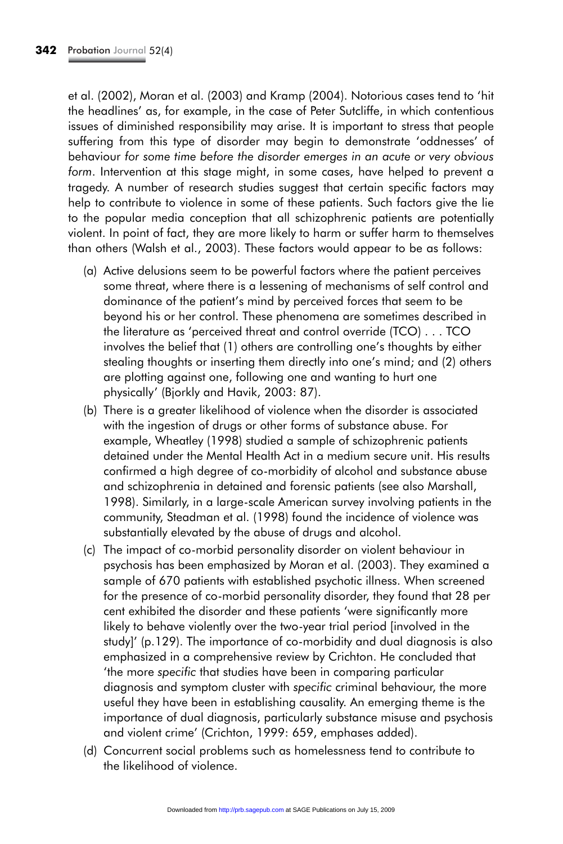et al. (2002), Moran et al. (2003) and Kramp (2004). Notorious cases tend to 'hit the headlines' as, for example, in the case of Peter Sutcliffe, in which contentious issues of diminished responsibility may arise. It is important to stress that people suffering from this type of disorder may begin to demonstrate 'oddnesses' of behaviour *for some time before the disorder emerges in an acute or very obvious form*. Intervention at this stage might, in some cases, have helped to prevent a tragedy. A number of research studies suggest that certain specific factors may help to contribute to violence in some of these patients. Such factors give the lie to the popular media conception that all schizophrenic patients are potentially violent. In point of fact, they are more likely to harm or suffer harm to themselves than others (Walsh et al., 2003). These factors would appear to be as follows:

- (a) Active delusions seem to be powerful factors where the patient perceives some threat, where there is a lessening of mechanisms of self control and dominance of the patient's mind by perceived forces that seem to be beyond his or her control. These phenomena are sometimes described in the literature as 'perceived threat and control override (TCO) . . . TCO involves the belief that (1) others are controlling one's thoughts by either stealing thoughts or inserting them directly into one's mind; and (2) others are plotting against one, following one and wanting to hurt one physically' (Bjorkly and Havik, 2003: 87).
- (b) There is a greater likelihood of violence when the disorder is associated with the ingestion of drugs or other forms of substance abuse. For example, Wheatley (1998) studied a sample of schizophrenic patients detained under the Mental Health Act in a medium secure unit. His results confirmed a high degree of co-morbidity of alcohol and substance abuse and schizophrenia in detained and forensic patients (see also Marshall, 1998). Similarly, in a large-scale American survey involving patients in the community, Steadman et al. (1998) found the incidence of violence was substantially elevated by the abuse of drugs and alcohol.
- (c) The impact of co-morbid personality disorder on violent behaviour in psychosis has been emphasized by Moran et al. (2003). They examined a sample of 670 patients with established psychotic illness. When screened for the presence of co-morbid personality disorder, they found that 28 per cent exhibited the disorder and these patients 'were significantly more likely to behave violently over the two-year trial period [involved in the study]' (p.129). The importance of co-morbidity and dual diagnosis is also emphasized in a comprehensive review by Crichton. He concluded that 'the more *specific* that studies have been in comparing particular diagnosis and symptom cluster with *specific* criminal behaviour, the more useful they have been in establishing causality. An emerging theme is the importance of dual diagnosis, particularly substance misuse and psychosis and violent crime' (Crichton, 1999: 659, emphases added).
- (d) Concurrent social problems such as homelessness tend to contribute to the likelihood of violence.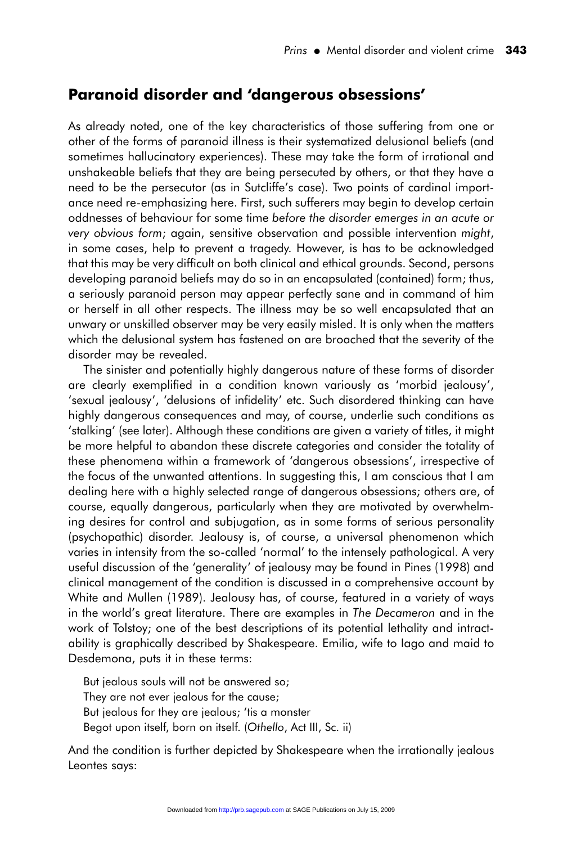#### **Paranoid disorder and 'dangerous obsessions'**

As already noted, one of the key characteristics of those suffering from one or other of the forms of paranoid illness is their systematized delusional beliefs (and sometimes hallucinatory experiences). These may take the form of irrational and unshakeable beliefs that they are being persecuted by others, or that they have a need to be the persecutor (as in Sutcliffe's case). Two points of cardinal importance need re-emphasizing here. First, such sufferers may begin to develop certain oddnesses of behaviour for some time *before the disorder emerges in an acute or very obvious form*; again, sensitive observation and possible intervention *might*, in some cases, help to prevent a tragedy. However, is has to be acknowledged that this may be very difficult on both clinical and ethical grounds. Second, persons developing paranoid beliefs may do so in an encapsulated (contained) form; thus, a seriously paranoid person may appear perfectly sane and in command of him or herself in all other respects. The illness may be so well encapsulated that an unwary or unskilled observer may be very easily misled. It is only when the matters which the delusional system has fastened on are broached that the severity of the disorder may be revealed.

The sinister and potentially highly dangerous nature of these forms of disorder are clearly exemplified in a condition known variously as 'morbid jealousy', 'sexual jealousy', 'delusions of infidelity' etc. Such disordered thinking can have highly dangerous consequences and may, of course, underlie such conditions as 'stalking' (see later). Although these conditions are given a variety of titles, it might be more helpful to abandon these discrete categories and consider the totality of these phenomena within a framework of 'dangerous obsessions', irrespective of the focus of the unwanted attentions. In suggesting this, I am conscious that I am dealing here with a highly selected range of dangerous obsessions; others are, of course, equally dangerous, particularly when they are motivated by overwhelming desires for control and subjugation, as in some forms of serious personality (psychopathic) disorder. Jealousy is, of course, a universal phenomenon which varies in intensity from the so-called 'normal' to the intensely pathological. A very useful discussion of the 'generality' of jealousy may be found in Pines (1998) and clinical management of the condition is discussed in a comprehensive account by White and Mullen (1989). Jealousy has, of course, featured in a variety of ways in the world's great literature. There are examples in *The Decameron* and in the work of Tolstoy; one of the best descriptions of its potential lethality and intractability is graphically described by Shakespeare. Emilia, wife to Iago and maid to Desdemona, puts it in these terms:

But jealous souls will not be answered so; They are not ever jealous for the cause; But jealous for they are jealous; 'tis a monster Begot upon itself, born on itself. (*Othello*, Act III, Sc. ii)

And the condition is further depicted by Shakespeare when the irrationally jealous Leontes says: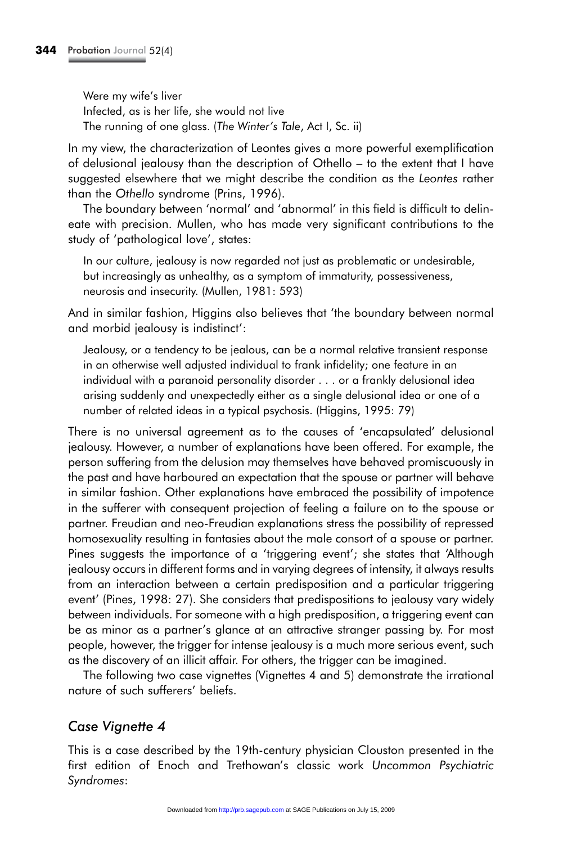Were my wife's liver Infected, as is her life, she would not live The running of one glass. (*The Winter's Tale*, Act I, Sc. ii)

In my view, the characterization of Leontes gives a more powerful exemplification of delusional jealousy than the description of Othello – to the extent that I have suggested elsewhere that we might describe the condition as the *Leontes* rather than the *Othello* syndrome (Prins, 1996).

The boundary between 'normal' and 'abnormal' in this field is difficult to delineate with precision. Mullen, who has made very significant contributions to the study of 'pathological love', states:

In our culture, jealousy is now regarded not just as problematic or undesirable, but increasingly as unhealthy, as a symptom of immaturity, possessiveness, neurosis and insecurity. (Mullen, 1981: 593)

And in similar fashion, Higgins also believes that 'the boundary between normal and morbid jealousy is indistinct':

Jealousy, or a tendency to be jealous, can be a normal relative transient response in an otherwise well adjusted individual to frank infidelity; one feature in an individual with a paranoid personality disorder . . . or a frankly delusional idea arising suddenly and unexpectedly either as a single delusional idea or one of a number of related ideas in a typical psychosis. (Higgins, 1995: 79)

There is no universal agreement as to the causes of 'encapsulated' delusional jealousy. However, a number of explanations have been offered. For example, the person suffering from the delusion may themselves have behaved promiscuously in the past and have harboured an expectation that the spouse or partner will behave in similar fashion. Other explanations have embraced the possibility of impotence in the sufferer with consequent projection of feeling a failure on to the spouse or partner. Freudian and neo-Freudian explanations stress the possibility of repressed homosexuality resulting in fantasies about the male consort of a spouse or partner. Pines suggests the importance of a 'triggering event'; she states that 'Although jealousy occurs in different forms and in varying degrees of intensity, it always results from an interaction between a certain predisposition and a particular triggering event' (Pines, 1998: 27). She considers that predispositions to jealousy vary widely between individuals. For someone with a high predisposition, a triggering event can be as minor as a partner's glance at an attractive stranger passing by. For most people, however, the trigger for intense jealousy is a much more serious event, such as the discovery of an illicit affair. For others, the trigger can be imagined.

The following two case vignettes (Vignettes 4 and 5) demonstrate the irrational nature of such sufferers' beliefs.

#### *Case Vignette 4*

This is a case described by the 19th-century physician Clouston presented in the first edition of Enoch and Trethowan's classic work *Uncommon Psychiatric Syndromes*: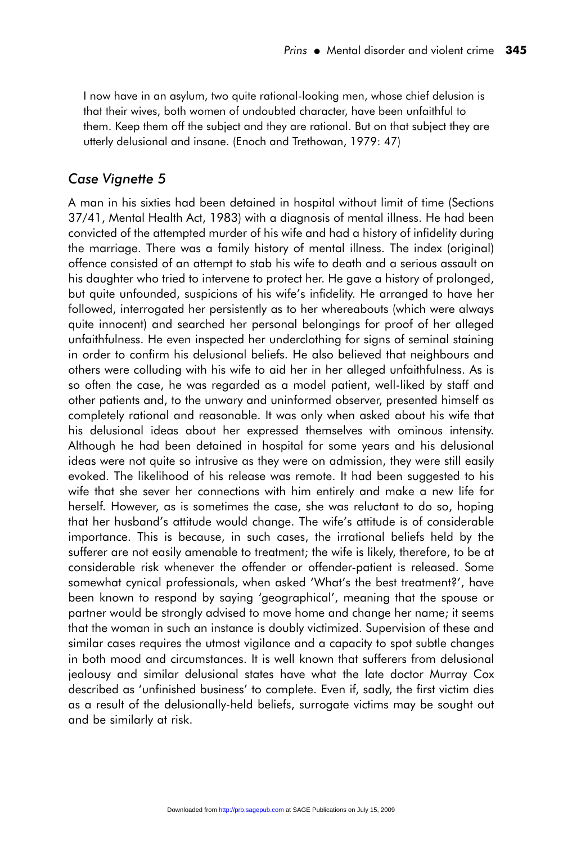I now have in an asylum, two quite rational-looking men, whose chief delusion is that their wives, both women of undoubted character, have been unfaithful to them. Keep them off the subject and they are rational. But on that subject they are utterly delusional and insane. (Enoch and Trethowan, 1979: 47)

#### *Case Vignette 5*

A man in his sixties had been detained in hospital without limit of time (Sections 37/41, Mental Health Act, 1983) with a diagnosis of mental illness. He had been convicted of the attempted murder of his wife and had a history of infidelity during the marriage. There was a family history of mental illness. The index (original) offence consisted of an attempt to stab his wife to death and a serious assault on his daughter who tried to intervene to protect her. He gave a history of prolonged, but quite unfounded, suspicions of his wife's infidelity. He arranged to have her followed, interrogated her persistently as to her whereabouts (which were always quite innocent) and searched her personal belongings for proof of her alleged unfaithfulness. He even inspected her underclothing for signs of seminal staining in order to confirm his delusional beliefs. He also believed that neighbours and others were colluding with his wife to aid her in her alleged unfaithfulness. As is so often the case, he was regarded as a model patient, well-liked by staff and other patients and, to the unwary and uninformed observer, presented himself as completely rational and reasonable. It was only when asked about his wife that his delusional ideas about her expressed themselves with ominous intensity. Although he had been detained in hospital for some years and his delusional ideas were not quite so intrusive as they were on admission, they were still easily evoked. The likelihood of his release was remote. It had been suggested to his wife that she sever her connections with him entirely and make a new life for herself. However, as is sometimes the case, she was reluctant to do so, hoping that her husband's attitude would change. The wife's attitude is of considerable importance. This is because, in such cases, the irrational beliefs held by the sufferer are not easily amenable to treatment; the wife is likely, therefore, to be at considerable risk whenever the offender or offender-patient is released. Some somewhat cynical professionals, when asked 'What's the best treatment?', have been known to respond by saying 'geographical', meaning that the spouse or partner would be strongly advised to move home and change her name; it seems that the woman in such an instance is doubly victimized. Supervision of these and similar cases requires the utmost vigilance and a capacity to spot subtle changes in both mood and circumstances. It is well known that sufferers from delusional jealousy and similar delusional states have what the late doctor Murray Cox described as 'unfinished business' to complete. Even if, sadly, the first victim dies as a result of the delusionally-held beliefs, surrogate victims may be sought out and be similarly at risk.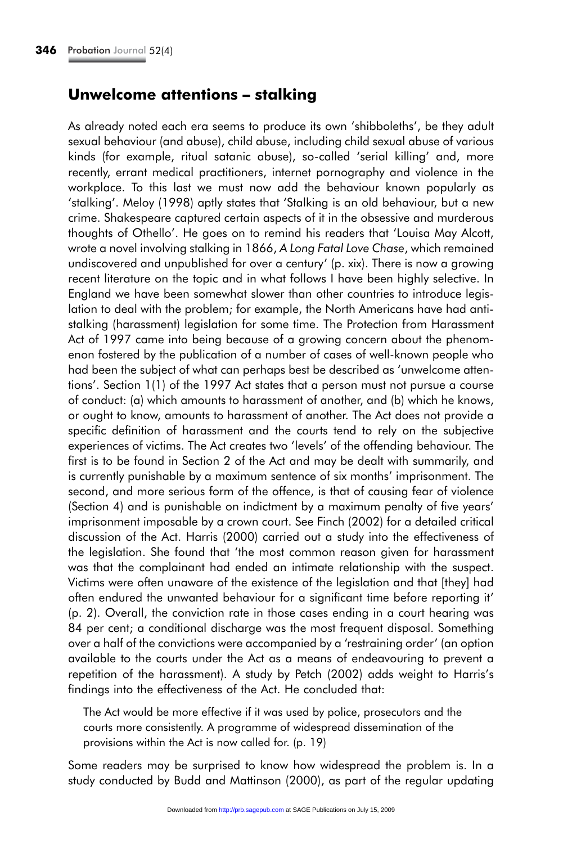#### **Unwelcome attentions – stalking**

As already noted each era seems to produce its own 'shibboleths', be they adult sexual behaviour (and abuse), child abuse, including child sexual abuse of various kinds (for example, ritual satanic abuse), so-called 'serial killing' and, more recently, errant medical practitioners, internet pornography and violence in the workplace. To this last we must now add the behaviour known popularly as 'stalking'. Meloy (1998) aptly states that 'Stalking is an old behaviour, but a new crime. Shakespeare captured certain aspects of it in the obsessive and murderous thoughts of Othello'. He goes on to remind his readers that 'Louisa May Alcott, wrote a novel involving stalking in 1866, *A Long Fatal Love Chase*, which remained undiscovered and unpublished for over a century' (p. xix). There is now a growing recent literature on the topic and in what follows I have been highly selective. In England we have been somewhat slower than other countries to introduce legislation to deal with the problem; for example, the North Americans have had antistalking (harassment) legislation for some time. The Protection from Harassment Act of 1997 came into being because of a growing concern about the phenomenon fostered by the publication of a number of cases of well-known people who had been the subject of what can perhaps best be described as 'unwelcome attentions'. Section 1(1) of the 1997 Act states that a person must not pursue a course of conduct: (a) which amounts to harassment of another, and (b) which he knows, or ought to know, amounts to harassment of another. The Act does not provide a specific definition of harassment and the courts tend to rely on the subjective experiences of victims. The Act creates two 'levels' of the offending behaviour. The first is to be found in Section 2 of the Act and may be dealt with summarily, and is currently punishable by a maximum sentence of six months' imprisonment. The second, and more serious form of the offence, is that of causing fear of violence (Section 4) and is punishable on indictment by a maximum penalty of five years' imprisonment imposable by a crown court. See Finch (2002) for a detailed critical discussion of the Act. Harris (2000) carried out a study into the effectiveness of the legislation. She found that 'the most common reason given for harassment was that the complainant had ended an intimate relationship with the suspect. Victims were often unaware of the existence of the legislation and that [they] had often endured the unwanted behaviour for a significant time before reporting it' (p. 2). Overall, the conviction rate in those cases ending in a court hearing was 84 per cent; a conditional discharge was the most frequent disposal. Something over a half of the convictions were accompanied by a 'restraining order' (an option available to the courts under the Act as a means of endeavouring to prevent a repetition of the harassment). A study by Petch (2002) adds weight to Harris's findings into the effectiveness of the Act. He concluded that:

The Act would be more effective if it was used by police, prosecutors and the courts more consistently. A programme of widespread dissemination of the provisions within the Act is now called for. (p. 19)

Some readers may be surprised to know how widespread the problem is. In a study conducted by Budd and Mattinson (2000), as part of the regular updating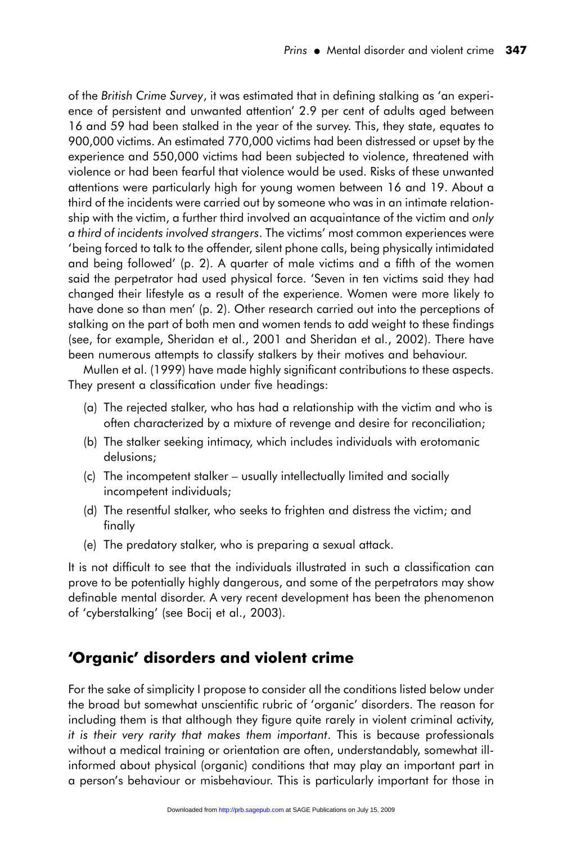of the *British Crime Survey*, it was estimated that in defining stalking as 'an experience of persistent and unwanted attention' 2.9 per cent of adults aged between 16 and 59 had been stalked in the year of the survey. This, they state, equates to 900,000 victims. An estimated 770,000 victims had been distressed or upset by the experience and 550,000 victims had been subjected to violence, threatened with violence or had been fearful that violence would be used. Risks of these unwanted attentions were particularly high for young women between 16 and 19. About a third of the incidents were carried out by someone who was in an intimate relationship with the victim, a further third involved an acquaintance of the victim and *only a third of incidents involved strangers*. The victims' most common experiences were 'being forced to talk to the offender, silent phone calls, being physically intimidated and being followed' (p. 2). A quarter of male victims and a fifth of the women said the perpetrator had used physical force. 'Seven in ten victims said they had changed their lifestyle as a result of the experience. Women were more likely to have done so than men' (p. 2). Other research carried out into the perceptions of stalking on the part of both men and women tends to add weight to these findings (see, for example, Sheridan et al., 2001 and Sheridan et al., 2002). There have been numerous attempts to classify stalkers by their motives and behaviour.

Mullen et al. (1999) have made highly significant contributions to these aspects. They present a classification under five headings:

- (a) The rejected stalker, who has had a relationship with the victim and who is often characterized by a mixture of revenge and desire for reconciliation;
- (b) The stalker seeking intimacy, which includes individuals with erotomanic delusions;
- (c) The incompetent stalker usually intellectually limited and socially incompetent individuals;
- (d) The resentful stalker, who seeks to frighten and distress the victim; and finally
- (e) The predatory stalker, who is preparing a sexual attack.

It is not difficult to see that the individuals illustrated in such a classification can prove to be potentially highly dangerous, and some of the perpetrators may show definable mental disorder. A very recent development has been the phenomenon of 'cyberstalking' (see Bocij et al., 2003).

#### **'Organic' disorders and violent crime**

For the sake of simplicity I propose to consider all the conditions listed below under the broad but somewhat unscientific rubric of 'organic' disorders. The reason for including them is that although they figure quite rarely in violent criminal activity, *it is their very rarity that makes them important*. This is because professionals without a medical training or orientation are often, understandably, somewhat illinformed about physical (organic) conditions that may play an important part in a person's behaviour or misbehaviour. This is particularly important for those in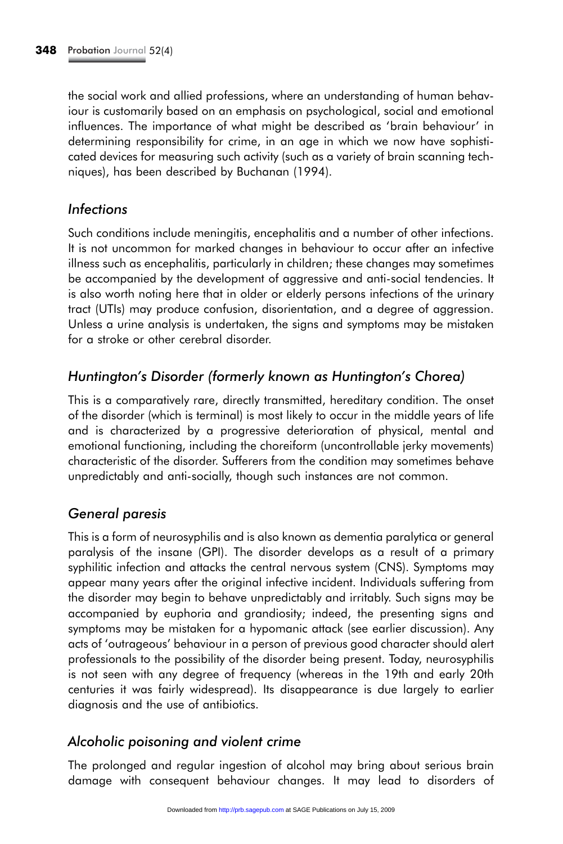the social work and allied professions, where an understanding of human behaviour is customarily based on an emphasis on psychological, social and emotional influences. The importance of what might be described as 'brain behaviour' in determining responsibility for crime, in an age in which we now have sophisticated devices for measuring such activity (such as a variety of brain scanning techniques), has been described by Buchanan (1994).

#### *Infections*

Such conditions include meningitis, encephalitis and a number of other infections. It is not uncommon for marked changes in behaviour to occur after an infective illness such as encephalitis, particularly in children; these changes may sometimes be accompanied by the development of aggressive and anti-social tendencies. It is also worth noting here that in older or elderly persons infections of the urinary tract (UTIs) may produce confusion, disorientation, and a degree of aggression. Unless a urine analysis is undertaken, the signs and symptoms may be mistaken for a stroke or other cerebral disorder.

#### *Huntington's Disorder (formerly known as Huntington's Chorea)*

This is a comparatively rare, directly transmitted, hereditary condition. The onset of the disorder (which is terminal) is most likely to occur in the middle years of life and is characterized by a progressive deterioration of physical, mental and emotional functioning, including the choreiform (uncontrollable jerky movements) characteristic of the disorder. Sufferers from the condition may sometimes behave unpredictably and anti-socially, though such instances are not common.

#### *General paresis*

This is a form of neurosyphilis and is also known as dementia paralytica or general paralysis of the insane (GPI). The disorder develops as a result of a primary syphilitic infection and attacks the central nervous system (CNS). Symptoms may appear many years after the original infective incident. Individuals suffering from the disorder may begin to behave unpredictably and irritably. Such signs may be accompanied by euphoria and grandiosity; indeed, the presenting signs and symptoms may be mistaken for a hypomanic attack (see earlier discussion). Any acts of 'outrageous' behaviour in a person of previous good character should alert professionals to the possibility of the disorder being present. Today, neurosyphilis is not seen with any degree of frequency (whereas in the 19th and early 20th centuries it was fairly widespread). Its disappearance is due largely to earlier diagnosis and the use of antibiotics.

#### *Alcoholic poisoning and violent crime*

The prolonged and regular ingestion of alcohol may bring about serious brain damage with consequent behaviour changes. It may lead to disorders of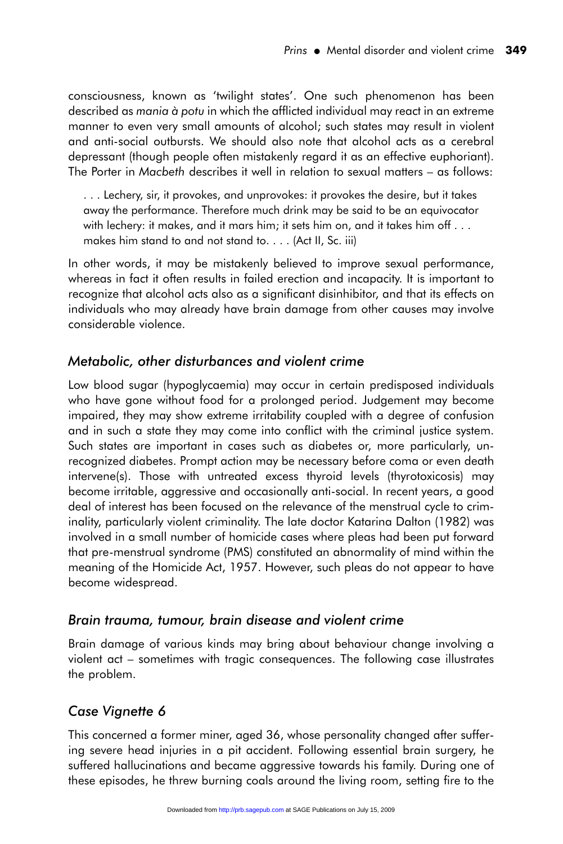consciousness, known as 'twilight states'. One such phenomenon has been described as *mania à potu* in which the afflicted individual may react in an extreme manner to even very small amounts of alcohol; such states may result in violent and anti-social outbursts. We should also note that alcohol acts as a cerebral depressant (though people often mistakenly regard it as an effective euphoriant). The Porter in *Macbeth* describes it well in relation to sexual matters – as follows:

. . . Lechery, sir, it provokes, and unprovokes: it provokes the desire, but it takes away the performance. Therefore much drink may be said to be an equivocator with lechery: it makes, and it mars him; it sets him on, and it takes him off . . . makes him stand to and not stand to. . . . (Act II, Sc. iii)

In other words, it may be mistakenly believed to improve sexual performance, whereas in fact it often results in failed erection and incapacity. It is important to recognize that alcohol acts also as a significant disinhibitor, and that its effects on individuals who may already have brain damage from other causes may involve considerable violence.

#### *Metabolic, other disturbances and violent crime*

Low blood sugar (hypoglycaemia) may occur in certain predisposed individuals who have gone without food for a prolonged period. Judgement may become impaired, they may show extreme irritability coupled with a degree of confusion and in such a state they may come into conflict with the criminal justice system. Such states are important in cases such as diabetes or, more particularly, unrecognized diabetes. Prompt action may be necessary before coma or even death intervene(s). Those with untreated excess thyroid levels (thyrotoxicosis) may become irritable, aggressive and occasionally anti-social. In recent years, a good deal of interest has been focused on the relevance of the menstrual cycle to criminality, particularly violent criminality. The late doctor Katarina Dalton (1982) was involved in a small number of homicide cases where pleas had been put forward that pre-menstrual syndrome (PMS) constituted an abnormality of mind within the meaning of the Homicide Act, 1957. However, such pleas do not appear to have become widespread.

#### *Brain trauma, tumour, brain disease and violent crime*

Brain damage of various kinds may bring about behaviour change involving a violent act – sometimes with tragic consequences. The following case illustrates the problem.

#### *Case Vignette 6*

This concerned a former miner, aged 36, whose personality changed after suffering severe head injuries in a pit accident. Following essential brain surgery, he suffered hallucinations and became aggressive towards his family. During one of these episodes, he threw burning coals around the living room, setting fire to the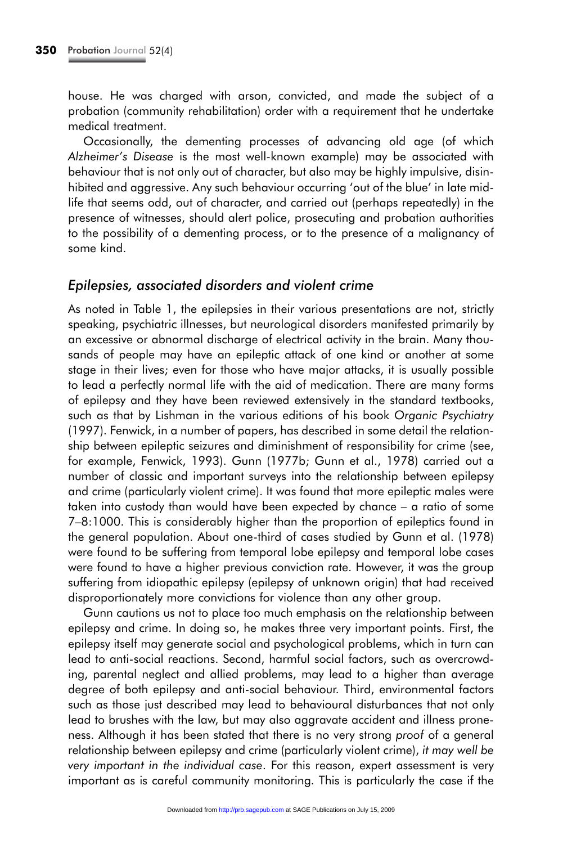house. He was charged with arson, convicted, and made the subject of a probation (community rehabilitation) order with a requirement that he undertake medical treatment.

Occasionally, the dementing processes of advancing old age (of which *Alzheimer's Disease* is the most well-known example) may be associated with behaviour that is not only out of character, but also may be highly impulsive, disinhibited and aggressive. Any such behaviour occurring 'out of the blue' in late midlife that seems odd, out of character, and carried out (perhaps repeatedly) in the presence of witnesses, should alert police, prosecuting and probation authorities to the possibility of a dementing process, or to the presence of a malignancy of some kind.

#### *Epilepsies, associated disorders and violent crime*

As noted in Table 1, the epilepsies in their various presentations are not, strictly speaking, psychiatric illnesses, but neurological disorders manifested primarily by an excessive or abnormal discharge of electrical activity in the brain. Many thousands of people may have an epileptic attack of one kind or another at some stage in their lives; even for those who have major attacks, it is usually possible to lead a perfectly normal life with the aid of medication. There are many forms of epilepsy and they have been reviewed extensively in the standard textbooks, such as that by Lishman in the various editions of his book *Organic Psychiatry* (1997). Fenwick, in a number of papers, has described in some detail the relationship between epileptic seizures and diminishment of responsibility for crime (see, for example, Fenwick, 1993). Gunn (1977b; Gunn et al., 1978) carried out a number of classic and important surveys into the relationship between epilepsy and crime (particularly violent crime). It was found that more epileptic males were taken into custody than would have been expected by chance – a ratio of some 7–8:1000. This is considerably higher than the proportion of epileptics found in the general population. About one-third of cases studied by Gunn et al. (1978) were found to be suffering from temporal lobe epilepsy and temporal lobe cases were found to have a higher previous conviction rate. However, it was the group suffering from idiopathic epilepsy (epilepsy of unknown origin) that had received disproportionately more convictions for violence than any other group.

Gunn cautions us not to place too much emphasis on the relationship between epilepsy and crime. In doing so, he makes three very important points. First, the epilepsy itself may generate social and psychological problems, which in turn can lead to anti-social reactions. Second, harmful social factors, such as overcrowding, parental neglect and allied problems, may lead to a higher than average degree of both epilepsy and anti-social behaviour. Third, environmental factors such as those just described may lead to behavioural disturbances that not only lead to brushes with the law, but may also aggravate accident and illness proneness. Although it has been stated that there is no very strong *proof* of a general relationship between epilepsy and crime (particularly violent crime), *it may well be very important in the individual case*. For this reason, expert assessment is very important as is careful community monitoring. This is particularly the case if the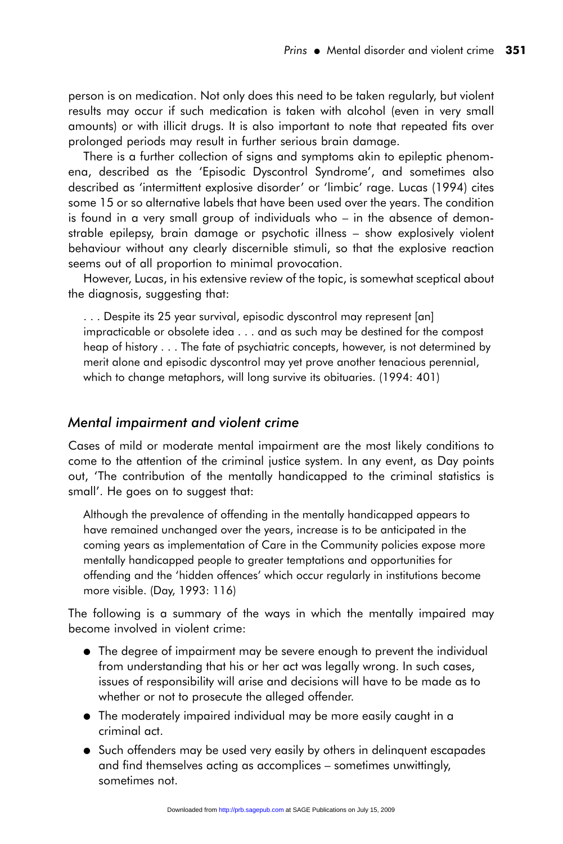person is on medication. Not only does this need to be taken regularly, but violent results may occur if such medication is taken with alcohol (even in very small amounts) or with illicit drugs. It is also important to note that repeated fits over prolonged periods may result in further serious brain damage.

There is a further collection of signs and symptoms akin to epileptic phenomena, described as the 'Episodic Dyscontrol Syndrome', and sometimes also described as 'intermittent explosive disorder' or 'limbic' rage. Lucas (1994) cites some 15 or so alternative labels that have been used over the years. The condition is found in a very small group of individuals who – in the absence of demonstrable epilepsy, brain damage or psychotic illness – show explosively violent behaviour without any clearly discernible stimuli, so that the explosive reaction seems out of all proportion to minimal provocation.

However, Lucas, in his extensive review of the topic, is somewhat sceptical about the diagnosis, suggesting that:

. . . Despite its 25 year survival, episodic dyscontrol may represent [an] impracticable or obsolete idea . . . and as such may be destined for the compost heap of history . . . The fate of psychiatric concepts, however, is not determined by merit alone and episodic dyscontrol may yet prove another tenacious perennial, which to change metaphors, will long survive its obituaries. (1994: 401)

#### *Mental impairment and violent crime*

Cases of mild or moderate mental impairment are the most likely conditions to come to the attention of the criminal justice system. In any event, as Day points out, 'The contribution of the mentally handicapped to the criminal statistics is small'. He goes on to suggest that:

Although the prevalence of offending in the mentally handicapped appears to have remained unchanged over the years, increase is to be anticipated in the coming years as implementation of Care in the Community policies expose more mentally handicapped people to greater temptations and opportunities for offending and the 'hidden offences' which occur regularly in institutions become more visible. (Day, 1993: 116)

The following is a summary of the ways in which the mentally impaired may become involved in violent crime:

- The degree of impairment may be severe enough to prevent the individual from understanding that his or her act was legally wrong. In such cases, issues of responsibility will arise and decisions will have to be made as to whether or not to prosecute the alleged offender.
- The moderately impaired individual may be more easily caught in a criminal act.
- Such offenders may be used very easily by others in delinquent escapades and find themselves acting as accomplices – sometimes unwittingly, sometimes not.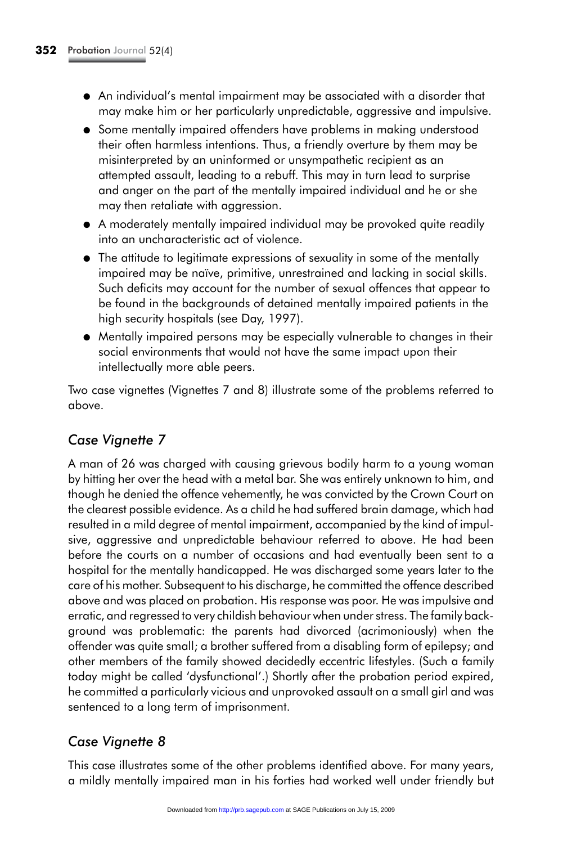- An individual's mental impairment may be associated with a disorder that may make him or her particularly unpredictable, aggressive and impulsive.
- Some mentally impaired offenders have problems in making understood their often harmless intentions. Thus, a friendly overture by them may be misinterpreted by an uninformed or unsympathetic recipient as an attempted assault, leading to a rebuff. This may in turn lead to surprise and anger on the part of the mentally impaired individual and he or she may then retaliate with aggression.
- A moderately mentally impaired individual may be provoked quite readily into an uncharacteristic act of violence.
- The attitude to legitimate expressions of sexuality in some of the mentally impaired may be naïve, primitive, unrestrained and lacking in social skills. Such deficits may account for the number of sexual offences that appear to be found in the backgrounds of detained mentally impaired patients in the high security hospitals (see Day, 1997).
- Mentally impaired persons may be especially vulnerable to changes in their social environments that would not have the same impact upon their intellectually more able peers.

Two case vignettes (Vignettes 7 and 8) illustrate some of the problems referred to above.

#### *Case Vignette 7*

A man of 26 was charged with causing grievous bodily harm to a young woman by hitting her over the head with a metal bar. She was entirely unknown to him, and though he denied the offence vehemently, he was convicted by the Crown Court on the clearest possible evidence. As a child he had suffered brain damage, which had resulted in a mild degree of mental impairment, accompanied by the kind of impulsive, aggressive and unpredictable behaviour referred to above. He had been before the courts on a number of occasions and had eventually been sent to a hospital for the mentally handicapped. He was discharged some years later to the care of his mother. Subsequent to his discharge, he committed the offence described above and was placed on probation. His response was poor. He was impulsive and erratic, and regressed to very childish behaviour when under stress. The family background was problematic: the parents had divorced (acrimoniously) when the offender was quite small; a brother suffered from a disabling form of epilepsy; and other members of the family showed decidedly eccentric lifestyles. (Such a family today might be called 'dysfunctional'.) Shortly after the probation period expired, he committed a particularly vicious and unprovoked assault on a small girl and was sentenced to a long term of imprisonment.

## *Case Vignette 8*

This case illustrates some of the other problems identified above. For many years, a mildly mentally impaired man in his forties had worked well under friendly but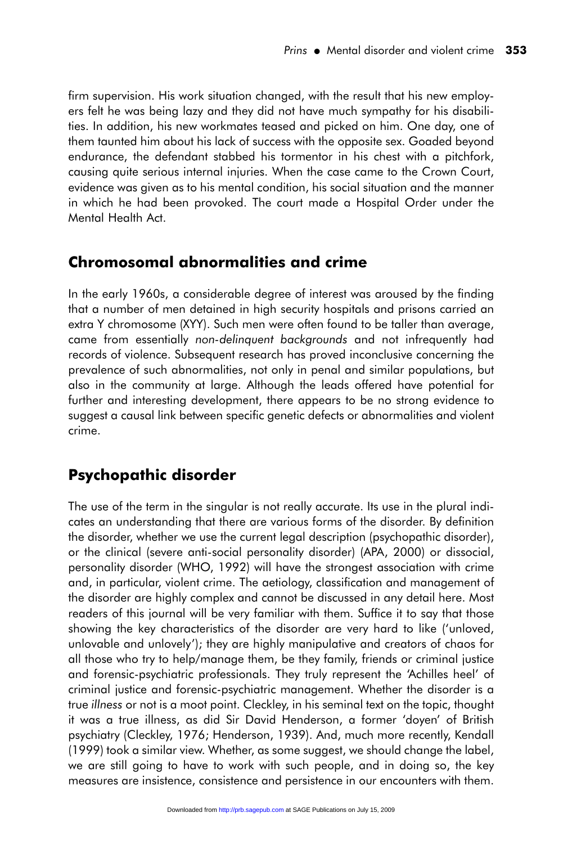firm supervision. His work situation changed, with the result that his new employers felt he was being lazy and they did not have much sympathy for his disabilities. In addition, his new workmates teased and picked on him. One day, one of them taunted him about his lack of success with the opposite sex. Goaded beyond endurance, the defendant stabbed his tormentor in his chest with a pitchfork, causing quite serious internal injuries. When the case came to the Crown Court, evidence was given as to his mental condition, his social situation and the manner in which he had been provoked. The court made a Hospital Order under the Mental Health Act.

#### **Chromosomal abnormalities and crime**

In the early 1960s, a considerable degree of interest was aroused by the finding that a number of men detained in high security hospitals and prisons carried an extra Y chromosome (XYY). Such men were often found to be taller than average, came from essentially *non-delinquent backgrounds* and not infrequently had records of violence. Subsequent research has proved inconclusive concerning the prevalence of such abnormalities, not only in penal and similar populations, but also in the community at large. Although the leads offered have potential for further and interesting development, there appears to be no strong evidence to suggest a causal link between specific genetic defects or abnormalities and violent crime.

## **Psychopathic disorder**

The use of the term in the singular is not really accurate. Its use in the plural indicates an understanding that there are various forms of the disorder. By definition the disorder, whether we use the current legal description (psychopathic disorder), or the clinical (severe anti-social personality disorder) (APA, 2000) or dissocial, personality disorder (WHO, 1992) will have the strongest association with crime and, in particular, violent crime. The aetiology, classification and management of the disorder are highly complex and cannot be discussed in any detail here. Most readers of this journal will be very familiar with them. Suffice it to say that those showing the key characteristics of the disorder are very hard to like ('unloved, unlovable and unlovely'); they are highly manipulative and creators of chaos for all those who try to help/manage them, be they family, friends or criminal justice and forensic-psychiatric professionals. They truly represent the 'Achilles heel' of criminal justice and forensic-psychiatric management. Whether the disorder is a true *illness* or not is a moot point. Cleckley, in his seminal text on the topic, thought it was a true illness, as did Sir David Henderson, a former 'doyen' of British psychiatry (Cleckley, 1976; Henderson, 1939). And, much more recently, Kendall (1999) took a similar view. Whether, as some suggest, we should change the label, we are still going to have to work with such people, and in doing so, the key measures are insistence, consistence and persistence in our encounters with them.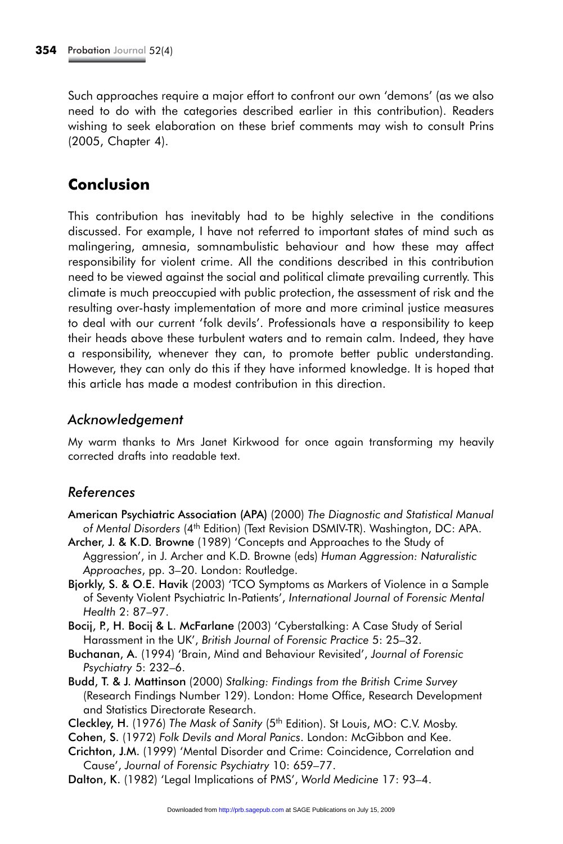Such approaches require a major effort to confront our own 'demons' (as we also need to do with the categories described earlier in this contribution). Readers wishing to seek elaboration on these brief comments may wish to consult Prins (2005, Chapter 4).

## **Conclusion**

This contribution has inevitably had to be highly selective in the conditions discussed. For example, I have not referred to important states of mind such as malingering, amnesia, somnambulistic behaviour and how these may affect responsibility for violent crime. All the conditions described in this contribution need to be viewed against the social and political climate prevailing currently. This climate is much preoccupied with public protection, the assessment of risk and the resulting over-hasty implementation of more and more criminal justice measures to deal with our current 'folk devils'. Professionals have a responsibility to keep their heads above these turbulent waters and to remain calm. Indeed, they have a responsibility, whenever they can, to promote better public understanding. However, they can only do this if they have informed knowledge. It is hoped that this article has made a modest contribution in this direction.

#### *Acknowledgement*

My warm thanks to Mrs Janet Kirkwood for once again transforming my heavily corrected drafts into readable text.

#### *References*

- American Psychiatric Association (APA) (2000) *The Diagnostic and Statistical Manual of Mental Disorders* (4th Edition) (Text Revision DSMIV-TR). Washington, DC: APA.
- Archer, J. & K.D. Browne (1989) 'Concepts and Approaches to the Study of Aggression', in J. Archer and K.D. Browne (eds) *Human Aggression: Naturalistic Approaches*, pp. 3–20. London: Routledge.
- Bjorkly, S. & O.E. Havik (2003) 'TCO Symptoms as Markers of Violence in a Sample of Seventy Violent Psychiatric In-Patients', *International Journal of Forensic Mental Health* 2: 87–97.
- Bocij, P., H. Bocij & L. McFarlane (2003) 'Cyberstalking: A Case Study of Serial Harassment in the UK', *British Journal of Forensic Practice* 5: 25–32.
- Buchanan, A. (1994) 'Brain, Mind and Behaviour Revisited', *Journal of Forensic Psychiatry* 5: 232–6.
- Budd, T. & J. Mattinson (2000) *Stalking: Findings from the British Crime Survey* (Research Findings Number 129). London: Home Office, Research Development and Statistics Directorate Research.
- Cleckley, H. (1976) *The Mask of Sanity* (5th Edition). St Louis, MO: C.V. Mosby.
- Cohen, S. (1972) *Folk Devils and Moral Panics*. London: McGibbon and Kee.
- Crichton, J.M. (1999) 'Mental Disorder and Crime: Coincidence, Correlation and Cause', *Journal of Forensic Psychiatry* 10: 659–77.
- Dalton, K. (1982) 'Legal Implications of PMS', *World Medicine* 17: 93–4.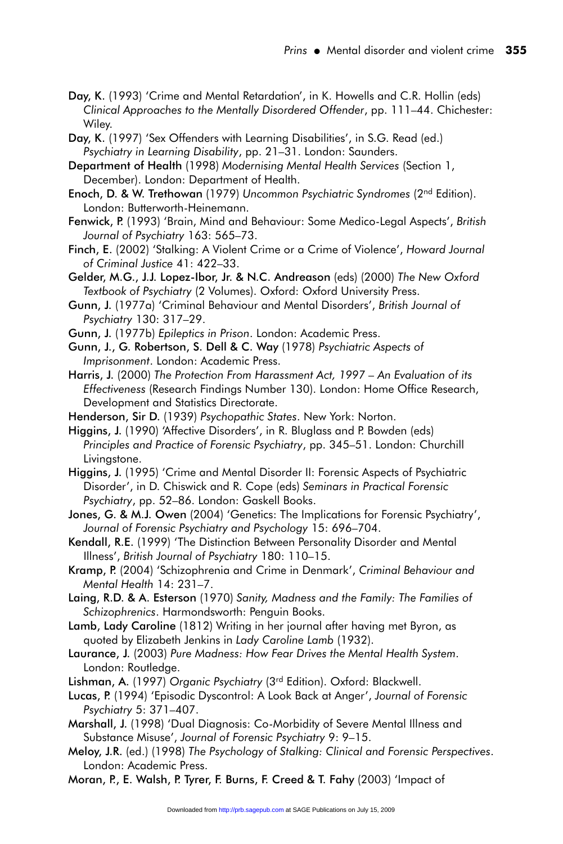- Day, K. (1993) 'Crime and Mental Retardation', in K. Howells and C.R. Hollin (eds) *Clinical Approaches to the Mentally Disordered Offender*, pp. 111–44. Chichester: Wiley.
- Day, K. (1997) 'Sex Offenders with Learning Disabilities', in S.G. Read (ed.) *Psychiatry in Learning Disability*, pp. 21–31. London: Saunders.
- Department of Health (1998) *Modernising Mental Health Services* (Section 1, December). London: Department of Health.
- Enoch, D. & W. Trethowan (1979) *Uncommon Psychiatric Syndromes* (2nd Edition). London: Butterworth-Heinemann.
- Fenwick, P. (1993) 'Brain, Mind and Behaviour: Some Medico-Legal Aspects', *British Journal of Psychiatry* 163: 565–73.
- Finch, E. (2002) 'Stalking: A Violent Crime or a Crime of Violence', *Howard Journal of Criminal Justice* 41: 422–33.
- Gelder, M.G., J.J. Lopez-Ibor, Jr. & N.C. Andreason (eds) (2000) *The New Oxford Textbook of Psychiatry* (2 Volumes). Oxford: Oxford University Press.
- Gunn, J. (1977a) 'Criminal Behaviour and Mental Disorders', *British Journal of Psychiatry* 130: 317–29.
- Gunn, J. (1977b) *Epileptics in Prison*. London: Academic Press.
- Gunn, J., G. Robertson, S. Dell & C. Way (1978) *Psychiatric Aspects of Imprisonment*. London: Academic Press.
- Harris, J. (2000) *The Protection From Harassment Act, 1997 An Evaluation of its Effectiveness* (Research Findings Number 130). London: Home Office Research, Development and Statistics Directorate.
- Henderson, Sir D. (1939) *Psychopathic States*. New York: Norton.
- Higgins, J. (1990) 'Affective Disorders', in R. Bluglass and P. Bowden (eds) *Principles and Practice of Forensic Psychiatry*, pp. 345–51. London: Churchill Livingstone.
- Higgins, J. (1995) 'Crime and Mental Disorder II: Forensic Aspects of Psychiatric Disorder', in D. Chiswick and R. Cope (eds) *Seminars in Practical Forensic Psychiatry*, pp. 52–86. London: Gaskell Books.
- Jones, G. & M.J. Owen (2004) 'Genetics: The Implications for Forensic Psychiatry', *Journal of Forensic Psychiatry and Psychology* 15: 696–704.
- Kendall, R.E. (1999) 'The Distinction Between Personality Disorder and Mental Illness', *British Journal of Psychiatry* 180: 110–15.
- Kramp, P. (2004) 'Schizophrenia and Crime in Denmark', *Criminal Behaviour and Mental Health* 14: 231–7.
- Laing, R.D. & A. Esterson (1970) *Sanity, Madness and the Family: The Families of Schizophrenics*. Harmondsworth: Penguin Books.
- Lamb, Lady Caroline (1812) Writing in her journal after having met Byron, as quoted by Elizabeth Jenkins in *Lady Caroline Lamb* (1932).
- Laurance, J. (2003) *Pure Madness: How Fear Drives the Mental Health System*. London: Routledge.
- Lishman, A. (1997) *Organic Psychiatry* (3rd Edition). Oxford: Blackwell.
- Lucas, P. (1994) 'Episodic Dyscontrol: A Look Back at Anger', *Journal of Forensic Psychiatry* 5: 371–407.
- Marshall, J. (1998) 'Dual Diagnosis: Co-Morbidity of Severe Mental Illness and Substance Misuse', *Journal of Forensic Psychiatry* 9: 9–15.
- Meloy, J.R. (ed.) (1998) *The Psychology of Stalking: Clinical and Forensic Perspectives*. London: Academic Press.
- Moran, P., E. Walsh, P. Tyrer, F. Burns, F. Creed & T. Fahy (2003) 'Impact of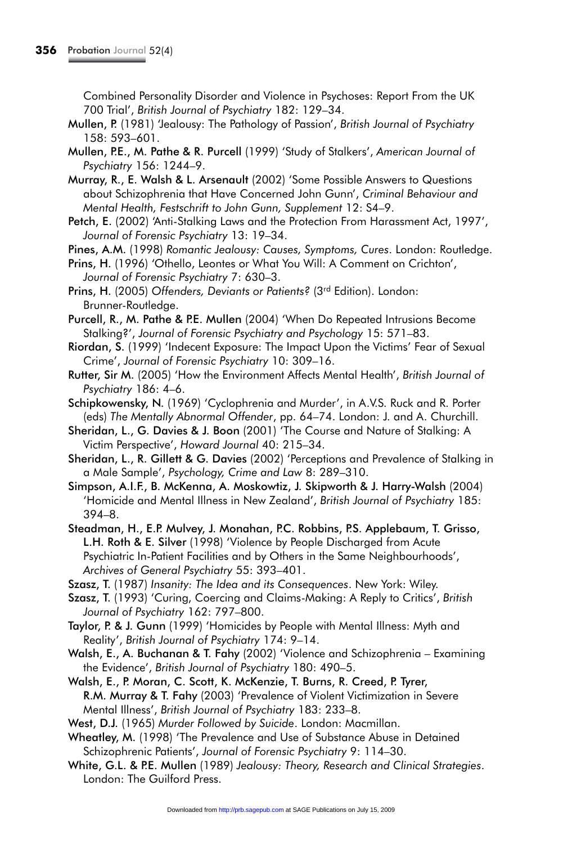Combined Personality Disorder and Violence in Psychoses: Report From the UK 700 Trial', *British Journal of Psychiatry* 182: 129–34.

- Mullen, P. (1981) 'Jealousy: The Pathology of Passion', *British Journal of Psychiatry* 158: 593–601.
- Mullen, P.E., M. Pathe & R. Purcell (1999) 'Study of Stalkers', *American Journal of Psychiatry* 156: 1244–9.

Murray, R., E. Walsh & L. Arsenault (2002) 'Some Possible Answers to Questions about Schizophrenia that Have Concerned John Gunn', *Criminal Behaviour and Mental Health, Festschrift to John Gunn, Supplement* 12: S4–9.

- Petch, E. (2002) 'Anti-Stalking Laws and the Protection From Harassment Act, 1997', *Journal of Forensic Psychiatry* 13: 19–34.
- Pines, A.M. (1998) *Romantic Jealousy: Causes, Symptoms, Cures*. London: Routledge.
- Prins, H. (1996) 'Othello, Leontes or What You Will: A Comment on Crichton', *Journal of Forensic Psychiatry* 7: 630–3.
- Prins, H. (2005) *Offenders, Deviants or Patients?* (3rd Edition). London: Brunner-Routledge.
- Purcell, R., M. Pathe & P.E. Mullen (2004) 'When Do Repeated Intrusions Become Stalking?', *Journal of Forensic Psychiatry and Psychology* 15: 571–83.
- Riordan, S. (1999) 'Indecent Exposure: The Impact Upon the Victims' Fear of Sexual Crime', *Journal of Forensic Psychiatry* 10: 309–16.
- Rutter, Sir M. (2005) 'How the Environment Affects Mental Health', *British Journal of Psychiatry* 186: 4–6.
- Schipkowensky, N. (1969) 'Cyclophrenia and Murder', in A.V.S. Ruck and R. Porter (eds) *The Mentally Abnormal Offender*, pp. 64–74. London: J. and A. Churchill.
- Sheridan, L., G. Davies & J. Boon (2001) 'The Course and Nature of Stalking: A Victim Perspective', *Howard Journal* 40: 215–34.
- Sheridan, L., R. Gillett & G. Davies (2002) 'Perceptions and Prevalence of Stalking in a Male Sample', *Psychology, Crime and Law* 8: 289–310.
- Simpson, A.I.F., B. McKenna, A. Moskowtiz, J. Skipworth & J. Harry-Walsh (2004) 'Homicide and Mental Illness in New Zealand', *British Journal of Psychiatry* 185: 394–8.
- Steadman, H., E.P. Mulvey, J. Monahan, P.C. Robbins, P.S. Applebaum, T. Grisso, L.H. Roth & E. Silver (1998) 'Violence by People Discharged from Acute Psychiatric In-Patient Facilities and by Others in the Same Neighbourhoods', *Archives of General Psychiatry* 55: 393–401.
- Szasz, T. (1987) *Insanity: The Idea and its Consequences*. New York: Wiley.
- Szasz, T. (1993) 'Curing, Coercing and Claims-Making: A Reply to Critics', *British Journal of Psychiatry* 162: 797–800.
- Taylor, P. & J. Gunn (1999) 'Homicides by People with Mental Illness: Myth and Reality', *British Journal of Psychiatry* 174: 9–14.
- Walsh, E., A. Buchanan & T. Fahy (2002) 'Violence and Schizophrenia Examining the Evidence', *British Journal of Psychiatry* 180: 490–5.
- Walsh, E., P. Moran, C. Scott, K. McKenzie, T. Burns, R. Creed, P. Tyrer, R.M. Murray & T. Fahy (2003) 'Prevalence of Violent Victimization in Severe Mental Illness', *British Journal of Psychiatry* 183: 233–8.
- West, D.J. (1965) *Murder Followed by Suicide*. London: Macmillan.
- Wheatley, M. (1998) 'The Prevalence and Use of Substance Abuse in Detained Schizophrenic Patients', *Journal of Forensic Psychiatry* 9: 114–30.
- White, G.L. & P.E. Mullen (1989) *Jealousy: Theory, Research and Clinical Strategies*. London: The Guilford Press.